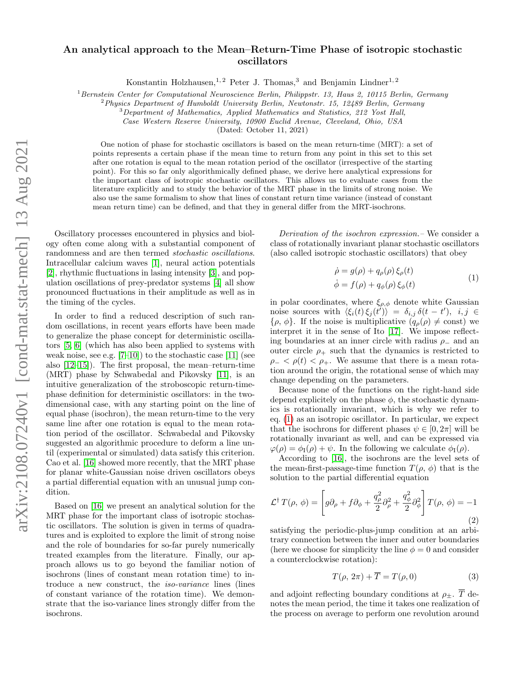## An analytical approach to the Mean–Return-Time Phase of isotropic stochastic oscillators

Konstantin Holzhausen,<sup>1,2</sup> Peter J. Thomas,<sup>3</sup> and Benjamin Lindner<sup>1,2</sup>

 $1$ Bernstein Center for Computational Neuroscience Berlin, Philippstr. 13, Haus 2, 10115 Berlin, Germany

 ${}^{2}$ Physics Department of Humboldt University Berlin, Newtonstr. 15, 12489 Berlin, Germany

<sup>3</sup>Department of Mathematics, Applied Mathematics and Statistics, 212 Yost Hall,

Case Western Reserve University, 10900 Euclid Avenue, Cleveland, Ohio, USA

(Dated: October 11, 2021)

One notion of phase for stochastic oscillators is based on the mean return-time (MRT): a set of points represents a certain phase if the mean time to return from any point in this set to this set after one rotation is equal to the mean rotation period of the oscillator (irrespective of the starting point). For this so far only algorithmically defined phase, we derive here analytical expressions for the important class of isotropic stochastic oscillators. This allows us to evaluate cases from the literature explicitly and to study the behavior of the MRT phase in the limits of strong noise. We also use the same formalism to show that lines of constant return time variance (instead of constant mean return time) can be defined, and that they in general differ from the MRT-isochrons.

Oscillatory processes encountered in physics and biology often come along with a substantial component of randomness and are then termed stochastic oscillations. Intracellular calcium waves [\[1\]](#page-3-0), neural action potentials [\[2\]](#page-3-1), rhythmic fluctuations in lasing intensity [\[3\]](#page-4-0), and population oscillations of prey-predator systems [\[4\]](#page-4-1) all show pronounced fluctuations in their amplitude as well as in the timing of the cycles.

In order to find a reduced description of such random oscillations, in recent years efforts have been made to generalize the phase concept for deterministic oscillators [\[5,](#page-4-2) [6\]](#page-4-3) (which has also been applied to systems with weak noise, see e.g.  $[7-10]$  $[7-10]$  to the stochastic case  $[11]$  (see also [\[12](#page-4-7)[–15\]](#page-4-8)). The first proposal, the mean–return-time (MRT) phase by Schwabedal and Pikovsky [\[11\]](#page-4-6), is an intuitive generalization of the stroboscopic return-timephase definition for deterministic oscillators: in the twodimensional case, with any starting point on the line of equal phase (isochron), the mean return-time to the very same line after one rotation is equal to the mean rotation period of the oscillator. Schwabedal and Pikovsky suggested an algorithmic procedure to deform a line until (experimental or simulated) data satisfy this criterion. Cao et al. [\[16\]](#page-4-9) showed more recently, that the MRT phase for planar white-Gaussian noise driven oscillators obeys a partial differential equation with an unusual jump condition.

Based on [\[16\]](#page-4-9) we present an analytical solution for the MRT phase for the important class of isotropic stochastic oscillators. The solution is given in terms of quadratures and is exploited to explore the limit of strong noise and the role of boundaries for so-far purely numerically treated examples from the literature. Finally, our approach allows us to go beyond the familiar notion of isochrons (lines of constant mean rotation time) to introduce a new construct, the iso-variance lines (lines of constant variance of the rotation time). We demonstrate that the iso-variance lines strongly differ from the isochrons.

Derivation of the isochron expression.– We consider a class of rotationally invariant planar stochastic oscillators (also called isotropic stochastic oscillators) that obey

<span id="page-0-0"></span>
$$
\dot{\rho} = g(\rho) + q_{\rho}(\rho) \xi_{\rho}(t) \n\dot{\phi} = f(\rho) + q_{\phi}(\rho) \xi_{\phi}(t)
$$
\n(1)

in polar coordinates, where  $\xi_{\rho,\phi}$  denote white Gaussian noise sources with  $\langle \xi_i(t) \xi_j(t') \rangle = \delta_{i,j} \, \delta(t-t')$ ,  $i, j \in$  $\{\rho, \phi\}$ . If the noise is multiplicative  $(q_{\rho}(\rho) \neq \text{const})$  we interpret it in the sense of Ito [\[17\]](#page-4-10). We impose reflecting boundaries at an inner circle with radius  $\rho_-\$  and an outer circle  $\rho_+$  such that the dynamics is restricted to  $\rho_- < \rho(t) < \rho_+$ . We assume that there is a mean rotation around the origin, the rotational sense of which may change depending on the parameters.

Because none of the functions on the right-hand side depend explicitely on the phase  $\phi$ , the stochastic dynamics is rotationally invariant, which is why we refer to eq. [\(1\)](#page-0-0) as an isotropic oscillator. In particular, we expect that the isochrons for different phases  $\psi \in [0, 2\pi]$  will be rotationally invariant as well, and can be expressed via  $\varphi(\rho) = \phi_I(\rho) + \psi$ . In the following we calculate  $\phi_I(\rho)$ .

According to [\[16\]](#page-4-9), the isochrons are the level sets of the mean-first-passage-time function  $T(\rho, \phi)$  that is the solution to the partial differential equation

$$
\mathcal{L}^{\dagger} T(\rho, \phi) = \left[ g \partial_{\rho} + f \partial_{\phi} + \frac{q_{\rho}^{2}}{2} \partial_{\rho}^{2} + \frac{q_{\phi}^{2}}{2} \partial_{\phi}^{2} \right] T(\rho, \phi) = -1
$$
\n(2)

satisfying the periodic-plus-jump condition at an arbitrary connection between the inner and outer boundaries (here we choose for simplicity the line  $\phi = 0$  and consider a counterclockwise rotation):

<span id="page-0-1"></span>
$$
T(\rho, 2\pi) + \overline{T} = T(\rho, 0)
$$
\n(3)

and adjoint reflecting boundary conditions at  $\rho_{\pm}$ . T denotes the mean period, the time it takes one realization of the process on average to perform one revolution around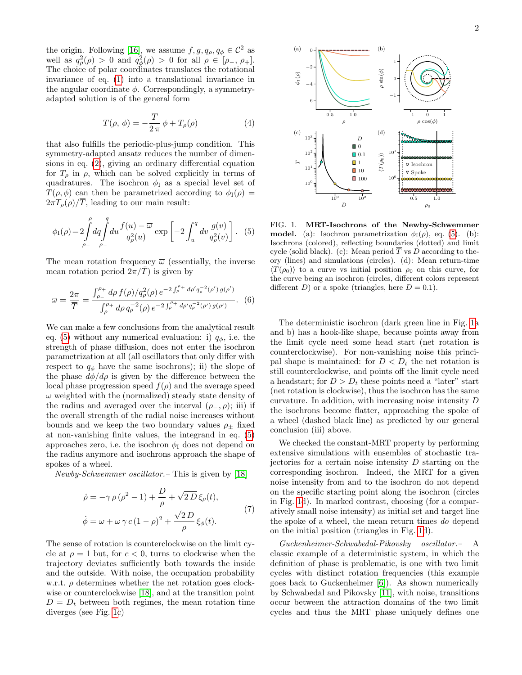the origin. Following [\[16\]](#page-4-9), we assume  $f, g, q_{\rho}, q_{\phi} \in C^2$  as well as  $q_\rho^2(\rho) > 0$  and  $q_\phi^2(\rho) > 0$  for all  $\rho \in [\rho_-, \rho_+]$ . The choice of polar coordinates translates the rotational invariance of eq. [\(1\)](#page-0-0) into a translational invariance in the angular coordinate  $\phi$ . Correspondingly, a symmetryadapted solution is of the general form

$$
T(\rho, \phi) = -\frac{\overline{T}}{2\pi} \phi + T_{\rho}(\rho)
$$
 (4)

that also fulfills the periodic-plus-jump condition. This symmetry-adapted ansatz reduces the number of dimensions in eq. [\(2\)](#page-0-1), giving an ordinary differential equation for  $T_{\rho}$  in  $\rho$ , which can be solved explicitly in terms of quadratures. The isochron  $\phi_I$  as a special level set of  $T(\rho, \phi)$  can then be parametrized according to  $\phi_{I}(\rho)$  =  $2\pi T_{\rho}(\rho)/\overline{T}$ , leading to our main result:

$$
\phi_{\rm I}(\rho) = 2 \int_{\rho_{-}}^{\rho} dq \int_{\rho_{-}}^{q} du \frac{f(u) - \overline{\omega}}{q_{\rho}^{2}(u)} \exp\left[-2 \int_{u}^{q} dv \frac{g(v)}{q_{\rho}^{2}(v)}\right]. \tag{5}
$$

The mean rotation frequency  $\bar{\omega}$  (essentially, the inverse mean rotation period  $2\pi/\overline{T}$  is given by

$$
\overline{\omega} = \frac{2\pi}{\overline{T}} = \frac{\int_{\rho_-}^{\rho_+} d\rho f(\rho) / q_\rho^2(\rho) e^{-2 \int_{\rho}^{\rho_+} d\rho' q_\rho^{-2}(\rho') g(\rho')}}{\int_{\rho_-}^{\rho_+} d\rho q_\rho^{-2}(\rho) e^{-2 \int_{\rho}^{\rho_+} d\rho' q_\rho^{-2}(\rho') g(\rho')}}.
$$
(6)

We can make a few conclusions from the analytical result eq. [\(5\)](#page-1-0) without any numerical evaluation: i)  $q_{\phi}$ , i.e. the strength of phase diffusion, does not enter the isochron parametrization at all (all oscillators that only differ with respect to  $q_{\phi}$  have the same isochrons); ii) the slope of the phase  $d\phi/d\rho$  is given by the difference between the local phase progression speed  $f(\rho)$  and the average speed  $\overline{\omega}$  weighted with the (normalized) steady state density of the radius and averaged over the interval  $(\rho_-, \rho)$ ; iii) if the overall strength of the radial noise increases without bounds and we keep the two boundary values  $\rho_{\pm}$  fixed at non-vanishing finite values, the integrand in eq. [\(5\)](#page-1-0) approaches zero, i.e. the isochron  $\phi_I$  does not depend on the radius anymore and isochrons approach the shape of spokes of a wheel.

Newby-Schwemmer oscillator.– This is given by [\[18\]](#page-4-11)

$$
\dot{\rho} = -\gamma \rho (\rho^2 - 1) + \frac{D}{\rho} + \sqrt{2D} \xi_{\rho}(t),
$$
  

$$
\dot{\phi} = \omega + \omega \gamma c (1 - \rho)^2 + \frac{\sqrt{2D}}{\rho} \xi_{\phi}(t).
$$
 (7)

The sense of rotation is counterclockwise on the limit cycle at  $\rho = 1$  but, for  $c < 0$ , turns to clockwise when the trajectory deviates sufficiently both towards the inside and the outside. With noise, the occupation probability w.r.t.  $\rho$  determines whether the net rotation goes clockwise or counterclockwise [\[18\]](#page-4-11), and at the transition point  $D = D_t$  between both regimes, the mean rotation time diverges (see Fig. [1c](#page-1-1))



<span id="page-1-1"></span><span id="page-1-0"></span>FIG. 1. MRT-Isochrons of the Newby-Schwemmer **model.** (a): Isochron parametrization  $\phi_{I}(\rho)$ , eq. [\(5\)](#page-1-0). (b): Isochrons (colored), reflecting boundaries (dotted) and limit cycle (solid black). (c): Mean period  $\overline{T}$  vs D according to theory (lines) and simulations (circles). (d): Mean return-time  $\langle T(\rho_0)\rangle$  to a curve vs initial position  $\rho_0$  on this curve, for the curve being an isochron (circles, different colors represent different D) or a spoke (triangles, here  $D = 0.1$ ).

The deterministic isochron (dark green line in Fig. [1a](#page-1-1) and b) has a hook-like shape, because points away from the limit cycle need some head start (net rotation is counterclockwise). For non-vanishing noise this principal shape is maintained: for  $D < D_t$  the net rotation is still counterclockwise, and points off the limit cycle need a headstart; for  $D > D_t$  these points need a "later" start (net rotation is clockwise), thus the isochron has the same curvature. In addition, with increasing noise intensity D the isochrons become flatter, approaching the spoke of a wheel (dashed black line) as predicted by our general conclusion (iii) above.

<span id="page-1-2"></span>We checked the constant-MRT property by performing extensive simulations with ensembles of stochastic trajectories for a certain noise intensity  $D$  starting on the corresponding isochron. Indeed, the MRT for a given noise intensity from and to the isochron do not depend on the specific starting point along the isochron (circles in Fig. [1d](#page-1-1)). In marked contrast, choosing (for a comparatively small noise intensity) as initial set and target line the spoke of a wheel, the mean return times do depend on the initial position (triangles in Fig. [1d](#page-1-1)).

Guckenheimer-Schwabedal-Pikovsky oscillator.– A classic example of a deterministic system, in which the definition of phase is problematic, is one with two limit cycles with distinct rotation frequencies (this example goes back to Guckenheimer [\[6\]](#page-4-3)). As shown numerically by Schwabedal and Pikovsky [\[11\]](#page-4-6), with noise, transitions occur between the attraction domains of the two limit cycles and thus the MRT phase uniquely defines one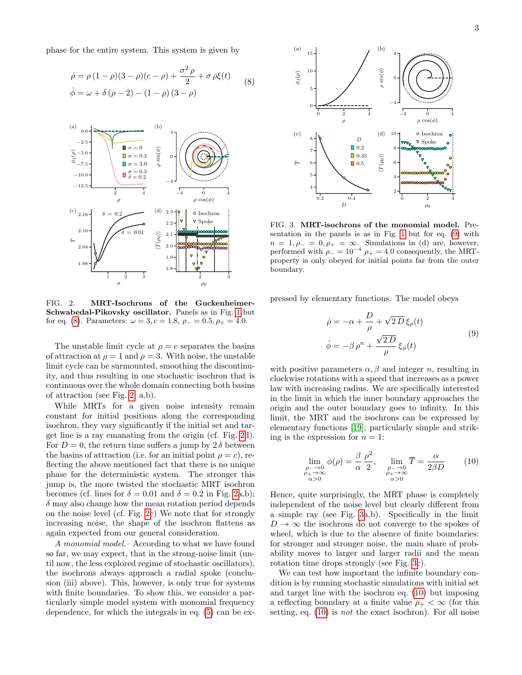phase for the entire system. This system is given by

$$
\dot{\rho} = \rho (1 - \rho)(3 - \rho)(c - \rho) + \frac{\sigma^2 \rho}{2} + \sigma \rho \xi(t) \tag{8}
$$
  

$$
\dot{\phi} = \omega + \delta (\rho - 2) - (1 - \rho) (3 - \rho)
$$



<span id="page-2-1"></span>FIG. 2. MRT-Isochrons of the Guckenheimer-Schwabedal-Pikovsky oscillator. Panels as in Fig. [1](#page-1-1) but for eq. [\(8\)](#page-2-0). Parameters:  $\omega = 3, c = 1.8, \rho_- = 0.5, \rho_+ = 4.0.$ 

The unstable limit cycle at  $\rho = c$  separates the basins of attraction at  $\rho = 1$  and  $\rho = 3$ . With noise, the unstable limit cycle can be surmounted, smoothing the discontinuity, and thus resulting in one stochastic isochron that is continuous over the whole domain connecting both basins of attraction (see Fig. [2,](#page-2-1) a,b).

While MRTs for a given noise intensity remain constant for initial positions along the corresponding isochron, they vary significantly if the initial set and target line is a ray emanating from the origin (cf. Fig. [2d](#page-2-1)). For  $D = 0$ , the return time suffers a jump by  $2 \delta$  between the basins of attraction (i.e. for an initial point  $\rho = c$ ), reflecting the above mentioned fact that there is no unique phase for the deterministic system. The stronger this jump is, the more twisted the stochastic MRT isochron becomes (cf. lines for  $\delta = 0.01$  and  $\delta = 0.2$  in Fig. [2a](#page-2-1),b);  $\delta$  may also change how the mean rotation period depends on the noise level (cf. Fig. [2c](#page-2-1)) We note that for strongly increasing noise, the shape of the isochron flattens as again expected from our general consideration.

A monomial model.– According to what we have found so far, we may expect, that in the strong-noise limit (until now, the less explored regime of stochastic oscillators), the isochrons always approach a radial spoke (conclusion (iii) above). This, however, is only true for systems with finite boundaries. To show this, we consider a particularly simple model system with monomial frequency dependence, for which the integrals in eq. [\(5\)](#page-1-0) can be ex-

<span id="page-2-0"></span>

<span id="page-2-3"></span>FIG. 3. MRT-isochrons of the monomial model. Presentation in the panels is as in Fig. [1](#page-1-1) but for eq. [\(9\)](#page-2-2) with  $n = 1, \rho_- = 0, \rho_+ = \infty$ . Simulations in (d) are, however, performed with  $\rho_- = 10^{-4}$   $\rho_+ = 4.0$  consequently, the MRTproperty is only obeyed for initial points far from the outer boundary.

pressed by elementary functions. The model obeys

<span id="page-2-2"></span>
$$
\dot{\rho} = -\alpha + \frac{D}{\rho} + \sqrt{2} \overline{D} \xi_{\rho}(t)
$$
  

$$
\dot{\phi} = -\beta \rho^{n} + \frac{\sqrt{2} \overline{D}}{\rho} \xi_{\phi}(t)
$$
 (9)

with positive parameters  $\alpha$ ,  $\beta$  and integer n, resulting in clockwise rotations with a speed that increases as a power law with increasing radius. We are specifically interested in the limit in which the inner boundary approaches the origin and the outer boundary goes to infinity. In this limit, the MRT and the isochrons can be expressed by elementary functions [\[19\]](#page-4-12); particularly simple and striking is the expression for  $n = 1$ :

<span id="page-2-4"></span>
$$
\lim_{\substack{\rho \to 0 \\ \rho_+ \to \infty \\ \alpha > 0}} \phi(\rho) = \frac{\beta}{\alpha} \frac{\rho^2}{2}, \quad \lim_{\substack{\rho \to 0 \\ \rho_+ \to \infty \\ \alpha > 0}} \overline{T} = \frac{\alpha}{2\beta D} \tag{10}
$$

Hence, quite surprisingly, the MRT phase is completely independent of the noise level but clearly different from a simple ray (see Fig. [3a](#page-2-3),b). Specifically in the limit  $D \to \infty$  the isochrons do not converge to the spokes of wheel, which is due to the absence of finite boundaries: for stronger and stronger noise, the main share of probability moves to larger and larger radii and the mean rotation time drops strongly (see Fig. [3c](#page-2-3)).

We can test how important the infinite boundary condition is by running stochastic simulations with initial set and target line with the isochron eq. [\(10\)](#page-2-4) but imposing a reflecting boundary at a finite value  $\rho_+ < \infty$  (for this setting, eq. [\(10\)](#page-2-4) is not the exact isochron). For all noise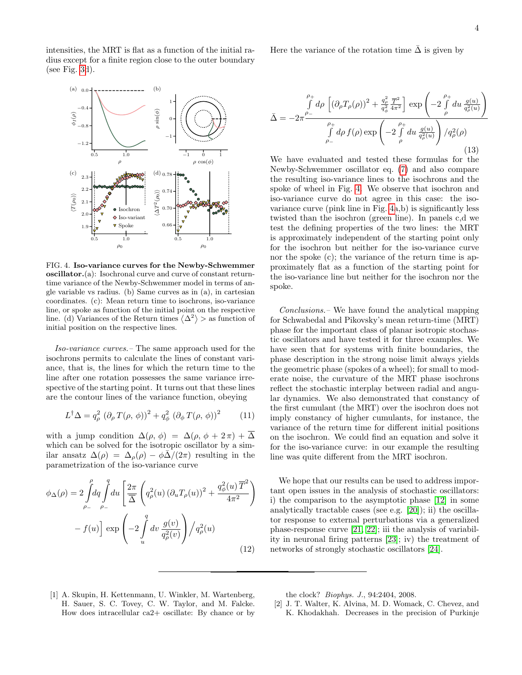intensities, the MRT is flat as a function of the initial radius except for a finite region close to the outer boundary (see Fig.  $3d$ ).



<span id="page-3-2"></span>FIG. 4. Iso-variance curves for the Newby-Schwemmer oscillator.(a): Isochronal curve and curve of constant returntime variance of the Newby-Schwemmer model in terms of angle variable vs radius. (b) Same curves as in (a), in cartesian coordinates. (c): Mean return time to isochrons, iso-variance line, or spoke as function of the initial point on the respective line. (d) Variances of the Return times  $\langle \Delta^2 \rangle$  > as function of initial position on the respective lines.

Iso-variance curves.– The same approach used for the isochrons permits to calculate the lines of constant variance, that is, the lines for which the return time to the line after one rotation possesses the same variance irrespective of the starting point. It turns out that these lines are the contour lines of the variance function, obeying

$$
L^{\dagger} \Delta = q_{\rho}^{2} \left( \partial_{\rho} T(\rho, \phi) \right)^{2} + q_{\phi}^{2} \left( \partial_{\phi} T(\rho, \phi) \right)^{2} \tag{11}
$$

with a jump condition  $\Delta(\rho, \phi) = \Delta(\rho, \phi + 2\pi) + \overline{\Delta}$ which can be solved for the isotropic oscillator by a similar ansatz  $\Delta(\rho) = \Delta_{\rho}(\rho) - \phi \bar{\Delta}/(2\pi)$  resulting in the parametrization of the iso-variance curve

$$
\phi_{\Delta}(\rho) = 2 \int_{\rho_{-}}^{\rho} dq \int_{\rho_{-}}^{q} du \left[ \frac{2\pi}{\Delta} \left( q_{\rho}^{2}(u) \left( \partial_{u} T_{\rho}(u) \right)^{2} + \frac{q_{\phi}^{2}(u) \overline{T}^{2}}{4\pi^{2}} \right) - f(u) \right] \exp \left( -2 \int_{u}^{q} dv \frac{g(v)}{q_{\rho}^{2}(v)} \right) / q_{\rho}^{2}(u) \tag{12}
$$

Here the variance of the rotation time  $\overline{\Delta}$  is given by

$$
\bar{\Delta} = -2\pi \frac{\int\limits_{\rho_{-}}^{\rho_{+}} d\rho \left[ \left( \partial_{\rho} T_{\rho}(\rho) \right)^{2} + \frac{q_{\rho}^{2}}{q_{\phi}^{2}} \frac{\overline{T}^{2}}{4\pi^{2}} \right] \exp \left( -2 \int\limits_{\rho}^{\rho_{+}} du \frac{g(u)}{q_{\rho}^{2}(u)} \right)}{\int\limits_{\rho_{-}}^{\rho_{+}} d\rho f(\rho) \exp \left( -2 \int\limits_{\rho}^{\rho_{+}} du \frac{g(u)}{q_{\rho}^{2}(u)} \right) / q_{\rho}^{2}(\rho)}
$$
\n(13)

We have evaluated and tested these formulas for the Newby-Schwemmer oscillator eq. [\(7\)](#page-1-2) and also compare the resulting iso-variance lines to the isochrons and the spoke of wheel in Fig. [4.](#page-3-2) We observe that isochron and iso-variance curve do not agree in this case: the isovariance curve (pink line in Fig. [4a](#page-3-2),b) is significantly less twisted than the isochron (green line). In panels c,d we test the defining properties of the two lines: the MRT is approximately independent of the starting point only for the isochron but neither for the iso-variance curve nor the spoke (c); the variance of the return time is approximately flat as a function of the starting point for the iso-variance line but neither for the isochron nor the spoke.

Conclusions.– We have found the analytical mapping for Schwabedal and Pikovsky's mean return-time (MRT) phase for the important class of planar isotropic stochastic oscillators and have tested it for three examples. We have seen that for systems with finite boundaries, the phase description in the strong noise limit always yields the geometric phase (spokes of a wheel); for small to moderate noise, the curvature of the MRT phase isochrons reflect the stochastic interplay between radial and angular dynamics. We also demonstrated that constancy of the first cumulant (the MRT) over the isochron does not imply constancy of higher cumulants, for instance, the variance of the return time for different initial positions on the isochron. We could find an equation and solve it for the iso-variance curve: in our example the resulting line was quite different from the MRT isochron.

We hope that our results can be used to address important open issues in the analysis of stochastic oscillators: i) the comparison to the asymptotic phase [\[12\]](#page-4-7) in some analytically tractable cases (see e.g. [\[20\]](#page-4-13)); ii) the oscillator response to external perturbations via a generalized phase-response curve [\[21,](#page-4-14) [22\]](#page-4-15); iii the analysis of variability in neuronal firing patterns [\[23\]](#page-4-16); iv) the treatment of networks of strongly stochastic oscillators [\[24\]](#page-4-17).

<span id="page-3-0"></span>[1] A. Skupin, H. Kettenmann, U. Winkler, M. Wartenberg, H. Sauer, S. C. Tovey, C. W. Taylor, and M. Falcke. How does intracellular ca2+ oscillate: By chance or by the clock? Biophys. J., 94:2404, 2008.

<span id="page-3-1"></span>[2] J. T. Walter, K. Alvina, M. D. Womack, C. Chevez, and K. Khodakhah. Decreases in the precision of Purkinje